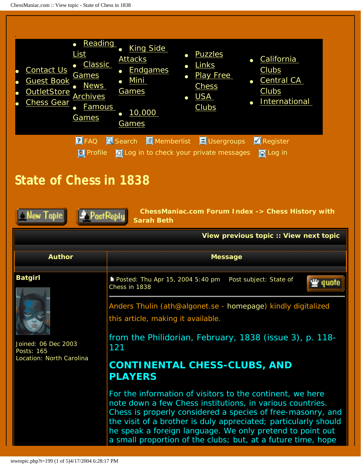### **Author Message**

## <span id="page-0-0"></span>**Batgirl**



Joined: 06 Dec 2003 Posts: 165 Location: North Carolina

Posted: Thu Apr 15, 2004 5:40 pm Post subject: State of Chess in 1838



Anders Thulin (ath@algonet.se - [homepage](http://www.algonet.se/~ath)) kindly digitalized this article, making it available.

from *the Philidorian*, February, 1838 (issue 3), p. 118- 121

# **CONTINENTAL CHESS-CLUBS, AND PLAYERS**

For the information of visitors to the continent, we here note down a few Chess institutions, in various countries. Chess is properly considered a species of free-masonry, and the visit of a brother is duly appreciated; particularly should he speak a foreign language. We only pretend to point out a small proportion of the clubs; but, at a future time, hope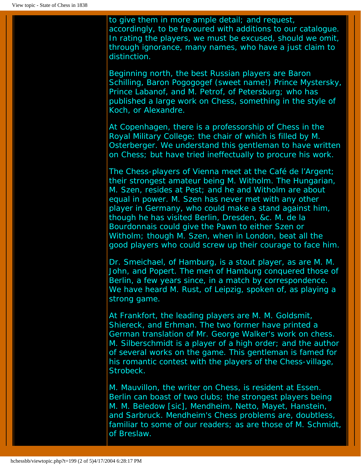to give them in more ample detail; and request, accordingly, to be favoured with additions to our catalogue. In rating the players, we must be excused, should we omit, through ignorance, many names, who have a just claim to distinction.

Beginning north, the best Russian players are Baron Schilling, Baron Pogogogef (sweet name!) Prince Mystersky, Prince Labanof, and M. Petrof, of Petersburg; who has published a large work on Chess, something in the style of Koch, or Alexandre.

At Copenhagen, there is a professorship of Chess in the Royal Military College; the chair of which is filled by M. Osterberger. We understand this gentleman to have written on Chess; but have tried ineffectually to procure his work.

The Chess-players of Vienna meet at the Café de l'Argent; their strongest amateur being M. Witholm. The Hungarian, M. Szen, resides at Pest; and he and Witholm are about equal in power. M. Szen has never met with any other player in Germany, who could make a stand against him, though he has visited Berlin, Dresden, &c. M. de la Bourdonnais could give the Pawn to either Szen or Witholm; though M. Szen, when in London, beat all the good players who could screw up their courage to face him.

Dr. Smeichael, of Hamburg, is a stout player, as are M. M. John, and Popert. The men of Hamburg conquered those of Berlin, a few years since, in a match by correspondence. We have heard M. Rust, of Leipzig, spoken of, as playing a strong game.

At Frankfort, the leading players are M. M. Goldsmit, Shiereck, and Erhman. The two former have printed a German translation of Mr. George Walker's work on chess. M. Silberschmidt is a player of a high order; and the author of several works on the game. This gentleman is famed for his romantic contest with the players of the Chess-village, Strobeck.

M. Mauvillon, the writer on Chess, is resident at Essen. Berlin can boast of two clubs; the strongest players being M. M. Beledow [sic], Mendheim, Netto, Mayet, Hanstein, and Sarbruck. Mendheim's Chess problems are, doubtless, familiar to some of our readers; as are those of M. Schmidt, of Breslaw.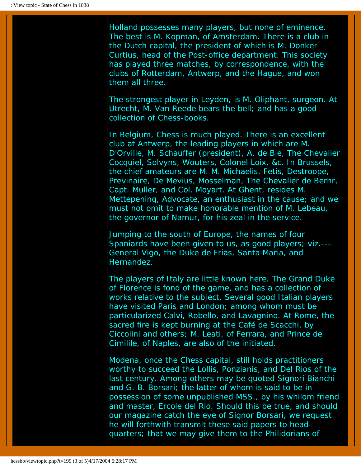Holland possesses many players, but none of eminence. The best is M. Kopman, of Amsterdam. There is a club in the Dutch capital, the president of which is M. Donker Curtius, head of the Post-office department. This society has played three matches, by correspondence, with the clubs of Rotterdam, Antwerp, and the Hague, and won them all three.

The strongest player in Leyden, is M. Oliphant, surgeon. At Utrecht, M. Van Reede bears the bell; and has a good collection of Chess-books.

In Belgium, Chess is much played. There is an excellent club at Antwerp, the leading players in which are M. D'Orville, M. Schauffer (president), A. de Bie, The Chevalier Cocquiel, Solvyns, Wouters, Colonel Loix, &c. In Brussels, the chief amateurs are M. M. Michaelis, Fetis, Destroope, Previnaire, De Mevius, Mosselman, The Chevalier de Berhr, Capt. Muller, and Col. Moyart. At Ghent, resides M. Mettepening, Advocate, an enthusiast in the cause; and we must not omit to make honorable mention of M. Lebeau, the governor of Namur, for his zeal in the service.

Jumping to the south of Europe, the names of four Spaniards have been given to us, as good players; viz.--- General Vigo, the Duke de Frias, Santa Maria, and Hernandez.

The players of Italy are little known here. The Grand Duke of Florence is fond of the game, and has a collection of works relative to the subject. Several good Italian players have visited Paris and London; among whom must be particularized Calvi, Robello, and Lavagnino. At Rome, the *sacred fire* is kept burning at the Café de Scacchi, by Ciccolini and others; M. Leati, of Ferrara, and Prince de Cimilile, of Naples, are also of the initiated.

Modena, once the Chess capital, still holds practitioners worthy to succeed the Lollis, Ponzianis, and Del Rios of the last century. Among others may be quoted Signori Bianchi and G. B. Borsari; the latter of whom is said to be in possession of some unpublished MSS., by his whilom friend and master, Ercole del Rio. Should this be true, and should our magazine catch the eye of Signor Borsari, we request he will forthwith transmit these said papers to headquarters; that we may give them to the Philidorians of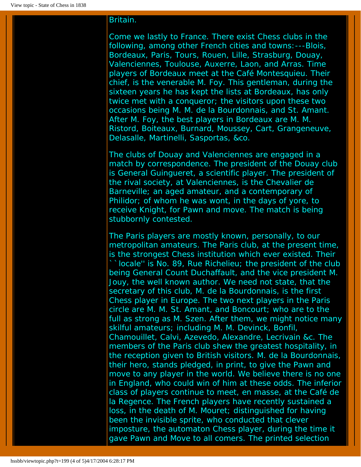## Britain.

Come we lastly to France. There exist Chess clubs in the following, among other French cities and towns:---Blois, Bordeaux, Paris, Tours, Rouen, Lille, Strasburg, Douay, Valenciennes, Toulouse, Auxerre, Laon, and Arras. Time players of Bordeaux meet at the Café Montesquieu. Their chief, is the venerable M. Foy. This gentleman, during the sixteen years he has kept the lists at Bordeaux, has only twice met with a conqueror; the visitors upon these two occasions being M. M. de la Bourdonnais, and St. Amant. After M. Foy, the best players in Bordeaux are M. M. Ristord, Boiteaux, Burnard, Moussey, Cart, Grangeneuve, Delasalle, Martinelli, Sasportas, &co.

The clubs of Douay and Valenciennes are engaged in a match by correspondence. The president of the Douay club is General Guingueret, a scientific player. The president of the rival society, at Valenciennes, is the Chevalier de Barneville; an aged amateur, and a contemporary of Philidor; of whom he was wont, in the days of yore, to receive Knight, for Pawn and move. The match is being stubbornly contested.

The Paris players are mostly known, personally, to our metropolitan amateurs. The Paris club, at the present time, is the strongest Chess institution which ever existed. Their ``locale'' is No. 89, Rue Richelieu; the president of the club being General Count Duchaffault, and the vice president M. Jouy, the well known author. We need not state, that the secretary of this club, M. de la Bourdonnais, is the first Chess player in Europe. The two next players in the Paris circle are M. M. St. Amant, and Boncourt; who are to the full as strong as M. Szen. After them, we might notice many skilful amateurs; including M. M. Devinck, Bonfil, Chamouillet, Calvi, Azevedo, Alexandre, Lecrivain &c. The members of the Paris club shew the greatest hospitality, in the reception given to British visitors. M. de la Bourdonnais, their hero, stands pledged, in print, to give the Pawn and move to any player in the world. We believe there is no one in England, who could win of him at these odds. The inferior class of players continue to meet, *en masse*, at the Café de la Regence. The French players have recently sustained a loss, in the death of M. Mouret; distinguished for having been the invisible sprite, who conducted that clever imposture, the automaton Chess player, during the time it gave Pawn and Move to all comers. The printed selection